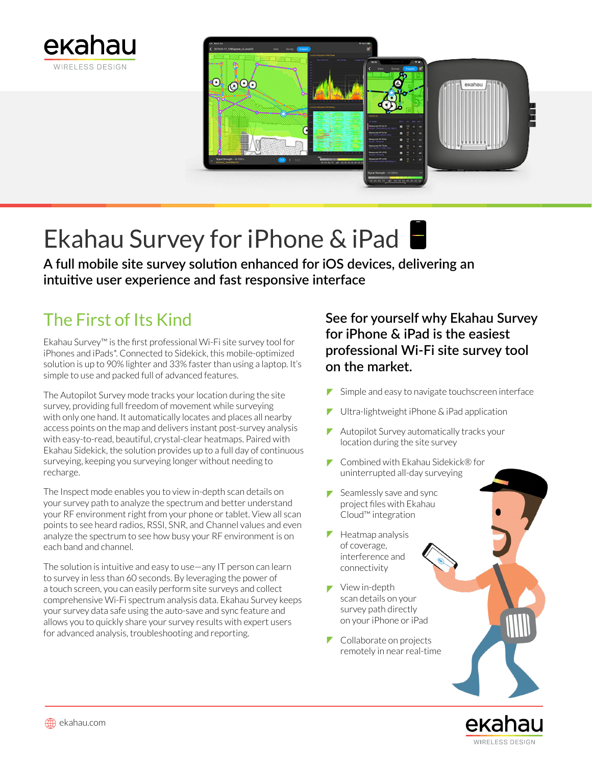



# Ekahau Survey for iPhone & iPad

**A full mobile site survey solution enhanced for iOS devices, delivering an intuitive user experience and fast responsive interface**

## The First of Its Kind

Ekahau Survey™ is the first professional Wi-Fi site survey tool for iPhones and iPads\*. Connected to Sidekick, this mobile-optimized solution is up to 90% lighter and 33% faster than using a laptop. It's simple to use and packed full of advanced features.

The Autopilot Survey mode tracks your location during the site survey, providing full freedom of movement while surveying with only one hand. It automatically locates and places all nearby access points on the map and delivers instant post-survey analysis with easy-to-read, beautiful, crystal-clear heatmaps. Paired with Ekahau Sidekick, the solution provides up to a full day of continuous surveying, keeping you surveying longer without needing to recharge.

The Inspect mode enables you to view in-depth scan details on your survey path to analyze the spectrum and better understand your RF environment right from your phone or tablet. View all scan points to see heard radios, RSSI, SNR, and Channel values and even analyze the spectrum to see how busy your RF environment is on each band and channel.

The solution is intuitive and easy to use—any IT person can learn to survey in less than 60 seconds. By leveraging the power of a touch screen, you can easily perform site surveys and collect comprehensive Wi-Fi spectrum analysis data. Ekahau Survey keeps your survey data safe using the auto-save and sync feature and allows you to quickly share your survey results with expert users for advanced analysis, troubleshooting and reporting.

### **See for yourself why Ekahau Survey for iPhone & iPad is the easiest professional Wi-Fi site survey tool on the market.**

- ◤ Simple and easy to navigate touchscreen interface
- Ultra-lightweight iPhone & iPad application Γ
- ▼ Autopilot Survey automatically tracks your location during the site survey
- Combined with Ekahau Sidekick® for uninterrupted all-day surveying
- $\blacktriangleright$  Seamlessly save and sync project files with Ekahau Cloud™ integration
- $\blacktriangleright$  Heatmap analysis of coverage, interference and connectivity
- View in-depth scan details on your survey path directly on your iPhone or iPad
- $\triangleright$  Collaborate on projects remotely in near real-time